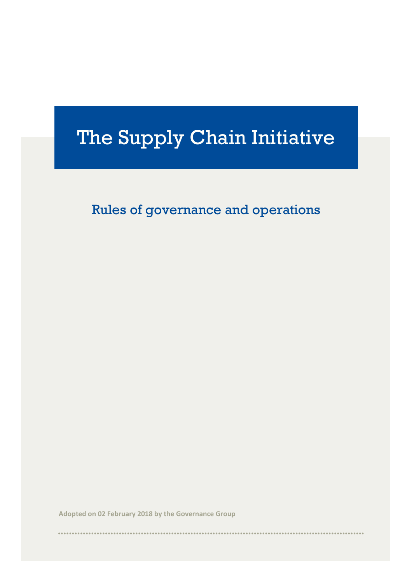# The Supply Chain Initiative

Rules of governance and operations

**Adopted on 02 February 2018 by the Governance Group**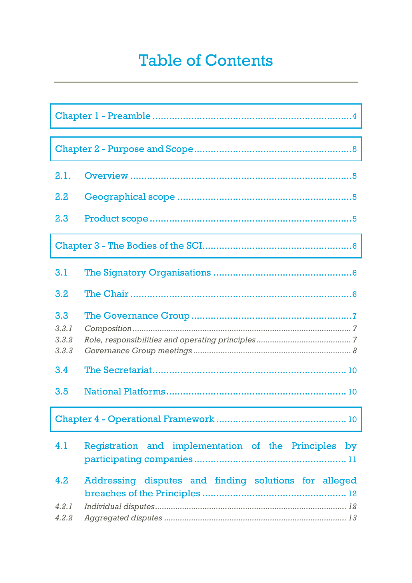# **Table of Contents**

| 2.1.                           |                                                       |
|--------------------------------|-------------------------------------------------------|
| $2.2\phantom{0}$               |                                                       |
| 2.3                            |                                                       |
|                                |                                                       |
| 3.1                            |                                                       |
| 3.2                            |                                                       |
| 3.3<br>3.3.1<br>3,3,2<br>3.3.3 |                                                       |
| 3.4                            |                                                       |
| 3.5                            |                                                       |
|                                |                                                       |
| 4.1                            | Registration and implementation of the Principles by  |
| 4.2                            | Addressing disputes and finding solutions for alleged |
| 4.2.1<br>4.2.2                 |                                                       |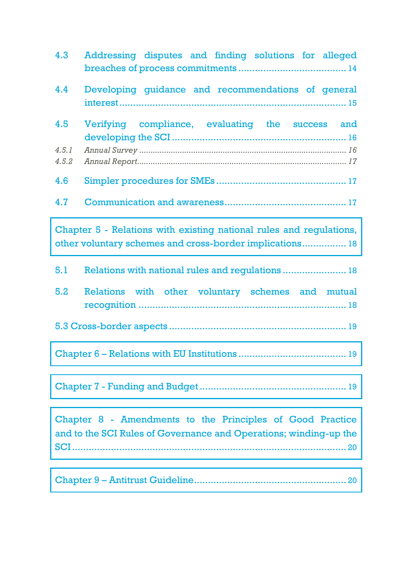| 4.3                                                                                                                             | Addressing disputes and finding solutions for alleged |  |
|---------------------------------------------------------------------------------------------------------------------------------|-------------------------------------------------------|--|
| 4.4                                                                                                                             | Developing guidance and recommendations of general    |  |
| 4.5                                                                                                                             | Verifying compliance, evaluating the success and      |  |
| 4.5.1<br>4.5.2                                                                                                                  |                                                       |  |
| 4.6                                                                                                                             |                                                       |  |
| 4.7                                                                                                                             |                                                       |  |
| Chapter 5 - Relations with existing national rules and regulations,<br>other voluntary schemes and cross-border implications 18 |                                                       |  |
| 5.1                                                                                                                             | Relations with national rules and regulations  18     |  |
| 5.2                                                                                                                             | Relations with other voluntary schemes and mutual     |  |
|                                                                                                                                 |                                                       |  |
|                                                                                                                                 |                                                       |  |
|                                                                                                                                 |                                                       |  |
| Chapter 8 - Amendments to the Principles of Good Practice<br>and to the SCI Rules of Governance and Operations; winding-up the  |                                                       |  |

Chapter 9 – [Antitrust Guideline.......................................................](#page-19-1) 20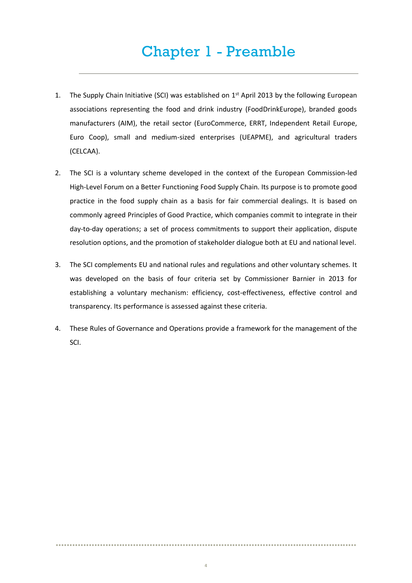# Chapter 1 - Preamble

- <span id="page-3-0"></span>1. The Supply Chain Initiative (SCI) was established on  $1<sup>st</sup>$  April 2013 by the following European associations representing the food and drink industry (FoodDrinkEurope), branded goods manufacturers (AIM), the retail sector (EuroCommerce, ERRT, Independent Retail Europe, Euro Coop), small and medium-sized enterprises (UEAPME), and agricultural traders (CELCAA).
- 2. The SCI is a voluntary scheme developed in the context of the European Commission-led High-Level Forum on a Better Functioning Food Supply Chain. Its purpose is to promote good practice in the food supply chain as a basis for fair commercial dealings. It is based on commonly agreed Principles of Good Practice, which companies commit to integrate in their day-to-day operations; a set of process commitments to support their application, dispute resolution options, and the promotion of stakeholder dialogue both at EU and national level.
- 3. The SCI complements EU and national rules and regulations and other voluntary schemes. It was developed on the basis of four criteria set by Commissioner Barnier in 2013 for establishing a voluntary mechanism: efficiency, cost-effectiveness, effective control and transparency. Its performance is assessed against these criteria.
- 4. These Rules of Governance and Operations provide a framework for the management of the SCI.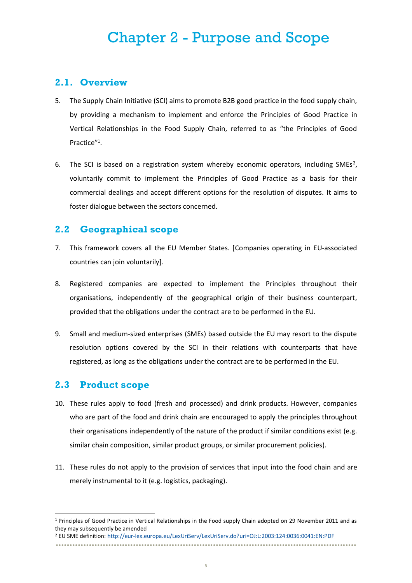### <span id="page-4-1"></span><span id="page-4-0"></span>**2.1. Overview**

- 5. The Supply Chain Initiative (SCI) aims to promote B2B good practice in the food supply chain, by providing a mechanism to implement and enforce the Principles of Good Practice in Vertical Relationships in the Food Supply Chain, referred to as "the Principles of Good Practice"<sup>1</sup> .
- 6. The SCI is based on a registration system whereby economic operators, including SMEs<sup>2</sup>, voluntarily commit to implement the Principles of Good Practice as a basis for their commercial dealings and accept different options for the resolution of disputes. It aims to foster dialogue between the sectors concerned.

# <span id="page-4-2"></span>**2.2 Geographical scope**

- 7. This framework covers all the EU Member States. [Companies operating in EU-associated countries can join voluntarily].
- 8. Registered companies are expected to implement the Principles throughout their organisations, independently of the geographical origin of their business counterpart, provided that the obligations under the contract are to be performed in the EU.
- 9. Small and medium-sized enterprises (SMEs) based outside the EU may resort to the dispute resolution options covered by the SCI in their relations with counterparts that have registered, as long as the obligations under the contract are to be performed in the EU.

# <span id="page-4-3"></span>**2.3 Product scope**

 $\overline{a}$ 

- 10. These rules apply to food (fresh and processed) and drink products. However, companies who are part of the food and drink chain are encouraged to apply the principles throughout their organisations independently of the nature of the product if similar conditions exist (e.g. similar chain composition, similar product groups, or similar procurement policies).
- 11. These rules do not apply to the provision of services that input into the food chain and are merely instrumental to it (e.g. logistics, packaging).

- <sup>2</sup> EU SME definition[: http://eur-lex.europa.eu/LexUriServ/LexUriServ.do?uri=OJ:L:2003:124:0036:0041:EN:PDF](http://eur-lex.europa.eu/LexUriServ/LexUriServ.do?uri=OJ:L:2003:124:0036:0041:EN:PDF)
- •••••••••••••••••••••••••••••••••••••••••••••••••••••••••••••••••••••••••••••••••••••••••••••••••••••••••••••

<sup>1</sup> Principles of Good Practice in Vertical Relationships in the Food supply Chain adopted on 29 November 2011 and as they may subsequently be amended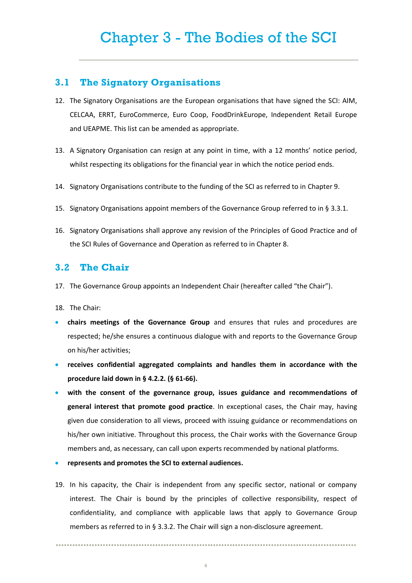### <span id="page-5-1"></span><span id="page-5-0"></span>**3.1 The Signatory Organisations**

- 12. The Signatory Organisations are the European organisations that have signed the SCI: AIM, CELCAA, ERRT, EuroCommerce, Euro Coop, FoodDrinkEurope, Independent Retail Europe and UEAPME. This list can be amended as appropriate.
- 13. A Signatory Organisation can resign at any point in time, with a 12 months' notice period, whilst respecting its obligations for the financial year in which the notice period ends.
- 14. Signatory Organisations contribute to the funding of the SCI as referred to in Chapter 9.
- 15. Signatory Organisations appoint members of the Governance Group referred to in § 3.3.1.
- 16. Signatory Organisations shall approve any revision of the Principles of Good Practice and of the SCI Rules of Governance and Operation as referred to in Chapter 8.

#### <span id="page-5-2"></span>**3.2 The Chair**

17. The Governance Group appoints an Independent Chair (hereafter called "the Chair").

18. The Chair:

- **chairs meetings of the Governance Group** and ensures that rules and procedures are respected; he/she ensures a continuous dialogue with and reports to the Governance Group on his/her activities;
- **receives confidential aggregated complaints and handles them in accordance with the procedure laid down in § 4.2.2. (§ 61-66).**
- **with the consent of the governance group, issues guidance and recommendations of general interest that promote good practice**. In exceptional cases, the Chair may, having given due consideration to all views, proceed with issuing guidance or recommendations on his/her own initiative. Throughout this process, the Chair works with the Governance Group members and, as necessary, can call upon experts recommended by national platforms.
- **represents and promotes the SCI to external audiences.**
- 19. In his capacity, the Chair is independent from any specific sector, national or company interest. The Chair is bound by the principles of collective responsibility, respect of confidentiality, and compliance with applicable laws that apply to Governance Group members as referred to in § 3.3.2. The Chair will sign a non-disclosure agreement.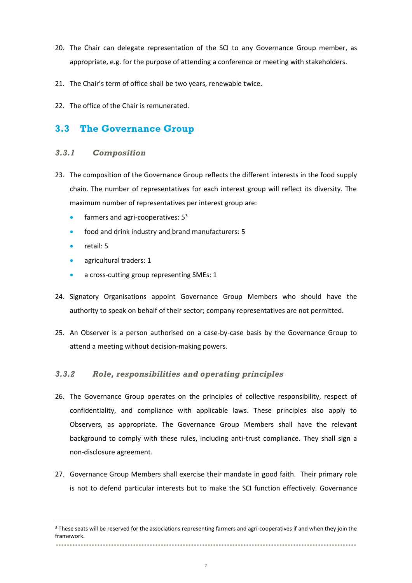- 20. The Chair can delegate representation of the SCI to any Governance Group member, as appropriate, e.g. for the purpose of attending a conference or meeting with stakeholders.
- 21. The Chair's term of office shall be two years, renewable twice.
- 22. The office of the Chair is remunerated.

# <span id="page-6-0"></span>**3.3 The Governance Group**

#### <span id="page-6-1"></span>*3.3.1 Composition*

- 23. The composition of the Governance Group reflects the different interests in the food supply chain. The number of representatives for each interest group will reflect its diversity. The maximum number of representatives per interest group are:
	- $\bullet$  farmers and agri-cooperatives:  $5^3$
	- food and drink industry and brand manufacturers: 5
	- retail: 5

l

- agricultural traders: 1
- a cross-cutting group representing SMEs: 1
- 24. Signatory Organisations appoint Governance Group Members who should have the authority to speak on behalf of their sector; company representatives are not permitted.
- 25. An Observer is a person authorised on a case-by-case basis by the Governance Group to attend a meeting without decision-making powers.

#### <span id="page-6-2"></span>*3.3.2 Role, responsibilities and operating principles*

- 26. The Governance Group operates on the principles of collective responsibility, respect of confidentiality, and compliance with applicable laws. These principles also apply to Observers, as appropriate. The Governance Group Members shall have the relevant background to comply with these rules, including anti-trust compliance. They shall sign a non-disclosure agreement.
- 27. Governance Group Members shall exercise their mandate in good faith. Their primary role is not to defend particular interests but to make the SCI function effectively. Governance

<sup>•••••••••••••••••••••••••••••••••••••••••••••••••••••••••••••••••••••••••••••••••••••••••••••••••••••••••••••</sup> <sup>3</sup> These seats will be reserved for the associations representing farmers and agri-cooperatives if and when they join the framework.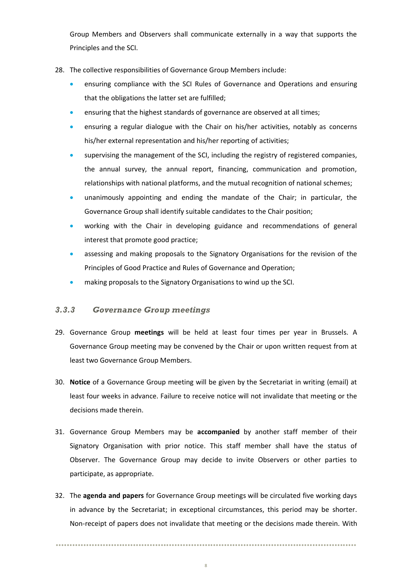Group Members and Observers shall communicate externally in a way that supports the Principles and the SCI.

- 28. The collective responsibilities of Governance Group Members include:
	- ensuring compliance with the SCI Rules of Governance and Operations and ensuring that the obligations the latter set are fulfilled;
	- ensuring that the highest standards of governance are observed at all times;
	- ensuring a regular dialogue with the Chair on his/her activities, notably as concerns his/her external representation and his/her reporting of activities;
	- supervising the management of the SCI, including the registry of registered companies, the annual survey, the annual report, financing, communication and promotion, relationships with national platforms, and the mutual recognition of national schemes;
	- unanimously appointing and ending the mandate of the Chair; in particular, the Governance Group shall identify suitable candidates to the Chair position;
	- working with the Chair in developing guidance and recommendations of general interest that promote good practice;
	- assessing and making proposals to the Signatory Organisations for the revision of the Principles of Good Practice and Rules of Governance and Operation;
	- making proposals to the Signatory Organisations to wind up the SCI.

#### <span id="page-7-0"></span>*3.3.3 Governance Group meetings*

- 29. Governance Group **meetings** will be held at least four times per year in Brussels. A Governance Group meeting may be convened by the Chair or upon written request from at least two Governance Group Members.
- 30. **Notice** of a Governance Group meeting will be given by the Secretariat in writing (email) at least four weeks in advance. Failure to receive notice will not invalidate that meeting or the decisions made therein.
- 31. Governance Group Members may be **accompanied** by another staff member of their Signatory Organisation with prior notice. This staff member shall have the status of Observer. The Governance Group may decide to invite Observers or other parties to participate, as appropriate.
- 32. The **agenda and papers** for Governance Group meetings will be circulated five working days in advance by the Secretariat; in exceptional circumstances, this period may be shorter. Non-receipt of papers does not invalidate that meeting or the decisions made therein. With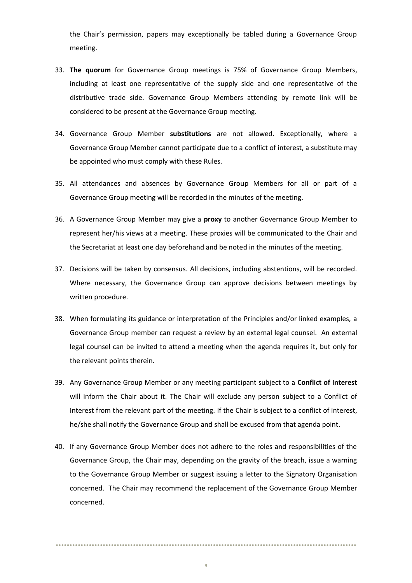the Chair's permission, papers may exceptionally be tabled during a Governance Group meeting.

- 33. **The quorum** for Governance Group meetings is 75% of Governance Group Members, including at least one representative of the supply side and one representative of the distributive trade side. Governance Group Members attending by remote link will be considered to be present at the Governance Group meeting.
- 34. Governance Group Member **substitutions** are not allowed. Exceptionally, where a Governance Group Member cannot participate due to a conflict of interest, a substitute may be appointed who must comply with these Rules.
- 35. All attendances and absences by Governance Group Members for all or part of a Governance Group meeting will be recorded in the minutes of the meeting.
- 36. A Governance Group Member may give a **proxy** to another Governance Group Member to represent her/his views at a meeting. These proxies will be communicated to the Chair and the Secretariat at least one day beforehand and be noted in the minutes of the meeting.
- 37. Decisions will be taken by consensus. All decisions, including abstentions, will be recorded. Where necessary, the Governance Group can approve decisions between meetings by written procedure.
- 38. When formulating its guidance or interpretation of the Principles and/or linked examples, a Governance Group member can request a review by an external legal counsel. An external legal counsel can be invited to attend a meeting when the agenda requires it, but only for the relevant points therein.
- 39. Any Governance Group Member or any meeting participant subject to a **Conflict of Interest** will inform the Chair about it. The Chair will exclude any person subject to a Conflict of Interest from the relevant part of the meeting. If the Chair is subject to a conflict of interest, he/she shall notify the Governance Group and shall be excused from that agenda point.
- 40. If any Governance Group Member does not adhere to the roles and responsibilities of the Governance Group, the Chair may, depending on the gravity of the breach, issue a warning to the Governance Group Member or suggest issuing a letter to the Signatory Organisation concerned. The Chair may recommend the replacement of the Governance Group Member concerned.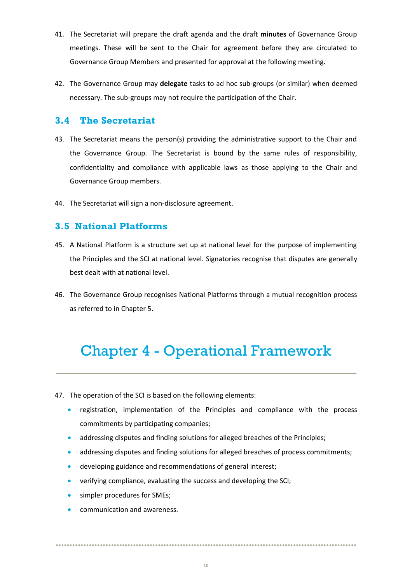- 41. The Secretariat will prepare the draft agenda and the draft **minutes** of Governance Group meetings. These will be sent to the Chair for agreement before they are circulated to Governance Group Members and presented for approval at the following meeting.
- 42. The Governance Group may **delegate** tasks to ad hoc sub-groups (or similar) when deemed necessary. The sub-groups may not require the participation of the Chair.

# <span id="page-9-0"></span>**3.4 The Secretariat**

- 43. The Secretariat means the person(s) providing the administrative support to the Chair and the Governance Group. The Secretariat is bound by the same rules of responsibility, confidentiality and compliance with applicable laws as those applying to the Chair and Governance Group members.
- 44. The Secretariat will sign a non-disclosure agreement.

### <span id="page-9-1"></span>**3.5 National Platforms**

- 45. A National Platform is a structure set up at national level for the purpose of implementing the Principles and the SCI at national level. Signatories recognise that disputes are generally best dealt with at national level.
- 46. The Governance Group recognises National Platforms through a mutual recognition process as referred to in Chapter 5.

# <span id="page-9-2"></span>Chapter 4 - Operational Framework

47. The operation of the SCI is based on the following elements:

- registration, implementation of the Principles and compliance with the process commitments by participating companies;
- addressing disputes and finding solutions for alleged breaches of the Principles;
- addressing disputes and finding solutions for alleged breaches of process commitments;
- developing guidance and recommendations of general interest;
- verifying compliance, evaluating the success and developing the SCI;
- simpler procedures for SMEs;
- communication and awareness.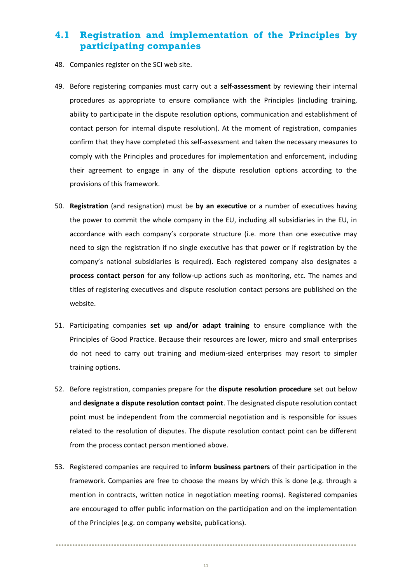# <span id="page-10-0"></span>**4.1 Registration and implementation of the Principles by participating companies**

- 48. Companies register on the SCI web site.
- 49. Before registering companies must carry out a **self-assessment** by reviewing their internal procedures as appropriate to ensure compliance with the Principles (including training, ability to participate in the dispute resolution options, communication and establishment of contact person for internal dispute resolution). At the moment of registration, companies confirm that they have completed this self-assessment and taken the necessary measures to comply with the Principles and procedures for implementation and enforcement, including their agreement to engage in any of the dispute resolution options according to the provisions of this framework.
- 50. **Registration** (and resignation) must be **by an executive** or a number of executives having the power to commit the whole company in the EU, including all subsidiaries in the EU, in accordance with each company's corporate structure (i.e. more than one executive may need to sign the registration if no single executive has that power or if registration by the company's national subsidiaries is required). Each registered company also designates a **process contact person** for any follow-up actions such as monitoring, etc. The names and titles of registering executives and dispute resolution contact persons are published on the website.
- 51. Participating companies **set up and/or adapt training** to ensure compliance with the Principles of Good Practice. Because their resources are lower, micro and small enterprises do not need to carry out training and medium-sized enterprises may resort to simpler training options.
- 52. Before registration, companies prepare for the **dispute resolution procedure** set out below and **designate a dispute resolution contact point**. The designated dispute resolution contact point must be independent from the commercial negotiation and is responsible for issues related to the resolution of disputes. The dispute resolution contact point can be different from the process contact person mentioned above.
- 53. Registered companies are required to **inform business partners** of their participation in the framework. Companies are free to choose the means by which this is done (e.g. through a mention in contracts, written notice in negotiation meeting rooms). Registered companies are encouraged to offer public information on the participation and on the implementation of the Principles (e.g. on company website, publications).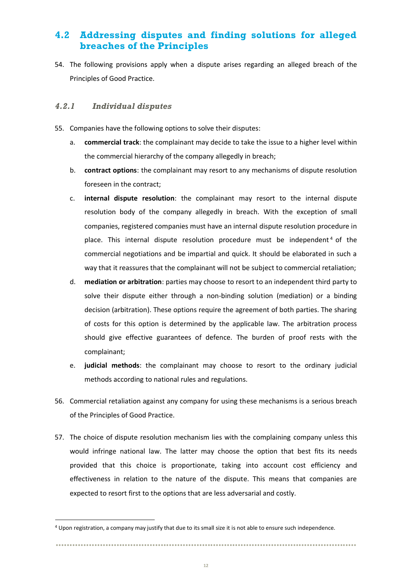# <span id="page-11-0"></span>**4.2 Addressing disputes and finding solutions for alleged breaches of the Principles**

54. The following provisions apply when a dispute arises regarding an alleged breach of the Principles of Good Practice.

#### <span id="page-11-1"></span>*4.2.1 Individual disputes*

 $\overline{a}$ 

- 55. Companies have the following options to solve their disputes:
	- a. **commercial track**: the complainant may decide to take the issue to a higher level within the commercial hierarchy of the company allegedly in breach;
	- b. **contract options**: the complainant may resort to any mechanisms of dispute resolution foreseen in the contract;
	- c. **internal dispute resolution**: the complainant may resort to the internal dispute resolution body of the company allegedly in breach. With the exception of small companies, registered companies must have an internal dispute resolution procedure in place. This internal dispute resolution procedure must be independent<sup>4</sup> of the commercial negotiations and be impartial and quick. It should be elaborated in such a way that it reassures that the complainant will not be subject to commercial retaliation;
	- d. **mediation or arbitration**: parties may choose to resort to an independent third party to solve their dispute either through a non-binding solution (mediation) or a binding decision (arbitration). These options require the agreement of both parties. The sharing of costs for this option is determined by the applicable law. The arbitration process should give effective guarantees of defence. The burden of proof rests with the complainant;
	- e. **judicial methods**: the complainant may choose to resort to the ordinary judicial methods according to national rules and regulations.
- 56. Commercial retaliation against any company for using these mechanisms is a serious breach of the Principles of Good Practice.
- 57. The choice of dispute resolution mechanism lies with the complaining company unless this would infringe national law. The latter may choose the option that best fits its needs provided that this choice is proportionate, taking into account cost efficiency and effectiveness in relation to the nature of the dispute. This means that companies are expected to resort first to the options that are less adversarial and costly.

<sup>4</sup> Upon registration, a company may justify that due to its small size it is not able to ensure such independence.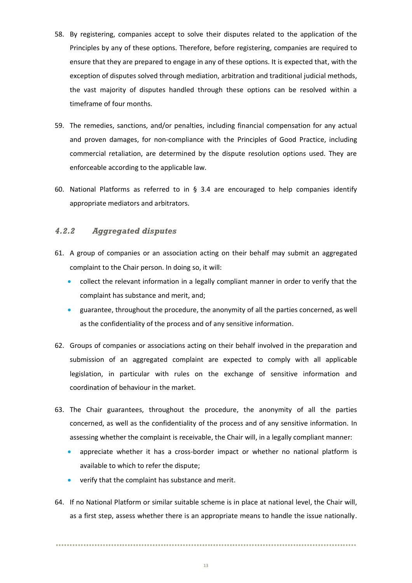- 58. By registering, companies accept to solve their disputes related to the application of the Principles by any of these options. Therefore, before registering, companies are required to ensure that they are prepared to engage in any of these options. It is expected that, with the exception of disputes solved through mediation, arbitration and traditional judicial methods, the vast majority of disputes handled through these options can be resolved within a timeframe of four months.
- 59. The remedies, sanctions, and/or penalties, including financial compensation for any actual and proven damages, for non-compliance with the Principles of Good Practice, including commercial retaliation, are determined by the dispute resolution options used. They are enforceable according to the applicable law.
- 60. National Platforms as referred to in  $\S$  3.4 are encouraged to help companies identify appropriate mediators and arbitrators.

#### <span id="page-12-0"></span>*4.2.2 Aggregated disputes*

- 61. A group of companies or an association acting on their behalf may submit an aggregated complaint to the Chair person. In doing so, it will:
	- collect the relevant information in a legally compliant manner in order to verify that the complaint has substance and merit, and;
	- guarantee, throughout the procedure, the anonymity of all the parties concerned, as well as the confidentiality of the process and of any sensitive information.
- 62. Groups of companies or associations acting on their behalf involved in the preparation and submission of an aggregated complaint are expected to comply with all applicable legislation, in particular with rules on the exchange of sensitive information and coordination of behaviour in the market.
- 63. The Chair guarantees, throughout the procedure, the anonymity of all the parties concerned, as well as the confidentiality of the process and of any sensitive information. In assessing whether the complaint is receivable, the Chair will, in a legally compliant manner:
	- appreciate whether it has a cross-border impact or whether no national platform is available to which to refer the dispute;
	- verify that the complaint has substance and merit.
- 64. If no National Platform or similar suitable scheme is in place at national level, the Chair will, as a first step, assess whether there is an appropriate means to handle the issue nationally.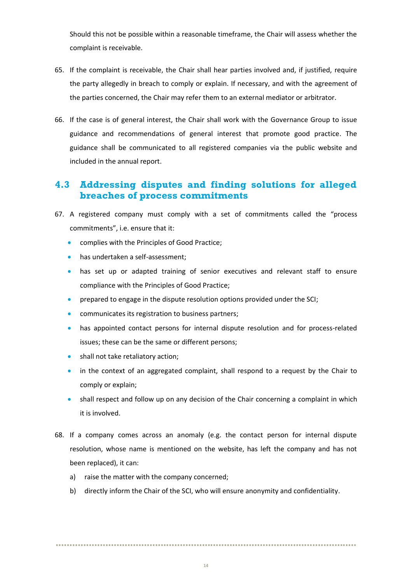Should this not be possible within a reasonable timeframe, the Chair will assess whether the complaint is receivable.

- 65. If the complaint is receivable, the Chair shall hear parties involved and, if justified, require the party allegedly in breach to comply or explain. If necessary, and with the agreement of the parties concerned, the Chair may refer them to an external mediator or arbitrator.
- 66. If the case is of general interest, the Chair shall work with the Governance Group to issue guidance and recommendations of general interest that promote good practice. The guidance shall be communicated to all registered companies via the public website and included in the annual report.

# <span id="page-13-0"></span>**4.3 Addressing disputes and finding solutions for alleged breaches of process commitments**

- 67. A registered company must comply with a set of commitments called the "process commitments", i.e. ensure that it:
	- complies with the Principles of Good Practice;
	- has undertaken a self-assessment;
	- has set up or adapted training of senior executives and relevant staff to ensure compliance with the Principles of Good Practice;
	- prepared to engage in the dispute resolution options provided under the SCI;
	- communicates its registration to business partners;
	- has appointed contact persons for internal dispute resolution and for process-related issues; these can be the same or different persons;
	- shall not take retaliatory action;
	- in the context of an aggregated complaint, shall respond to a request by the Chair to comply or explain;
	- shall respect and follow up on any decision of the Chair concerning a complaint in which it is involved.
- 68. If a company comes across an anomaly (e.g. the contact person for internal dispute resolution, whose name is mentioned on the website, has left the company and has not been replaced), it can:
	- a) raise the matter with the company concerned;
	- b) directly inform the Chair of the SCI, who will ensure anonymity and confidentiality.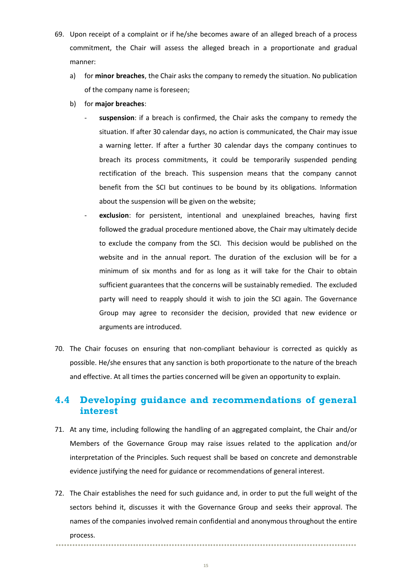- 69. Upon receipt of a complaint or if he/she becomes aware of an alleged breach of a process commitment, the Chair will assess the alleged breach in a proportionate and gradual manner:
	- a) for **minor breaches**, the Chair asks the company to remedy the situation. No publication of the company name is foreseen;
	- b) for **major breaches**:
		- suspension: if a breach is confirmed, the Chair asks the company to remedy the situation. If after 30 calendar days, no action is communicated, the Chair may issue a warning letter. If after a further 30 calendar days the company continues to breach its process commitments, it could be temporarily suspended pending rectification of the breach. This suspension means that the company cannot benefit from the SCI but continues to be bound by its obligations. Information about the suspension will be given on the website;
		- exclusion: for persistent, intentional and unexplained breaches, having first followed the gradual procedure mentioned above, the Chair may ultimately decide to exclude the company from the SCI. This decision would be published on the website and in the annual report. The duration of the exclusion will be for a minimum of six months and for as long as it will take for the Chair to obtain sufficient guarantees that the concerns will be sustainably remedied. The excluded party will need to reapply should it wish to join the SCI again. The Governance Group may agree to reconsider the decision, provided that new evidence or arguments are introduced.
- 70. The Chair focuses on ensuring that non-compliant behaviour is corrected as quickly as possible. He/she ensures that any sanction is both proportionate to the nature of the breach and effective. At all times the parties concerned will be given an opportunity to explain.

# <span id="page-14-0"></span>**4.4 Developing guidance and recommendations of general interest**

- 71. At any time, including following the handling of an aggregated complaint, the Chair and/or Members of the Governance Group may raise issues related to the application and/or interpretation of the Principles. Such request shall be based on concrete and demonstrable evidence justifying the need for guidance or recommendations of general interest.
- 72. The Chair establishes the need for such guidance and, in order to put the full weight of the sectors behind it, discusses it with the Governance Group and seeks their approval. The names of the companies involved remain confidential and anonymous throughout the entire process.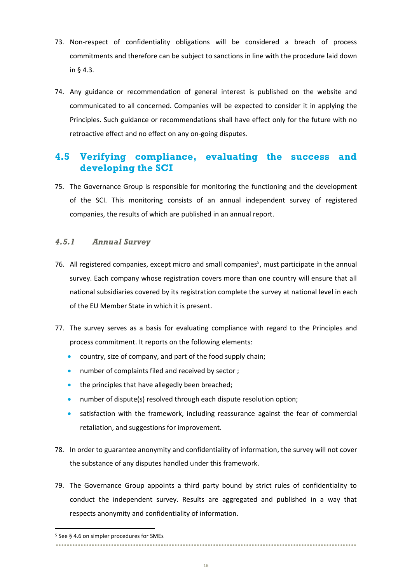- 73. Non-respect of confidentiality obligations will be considered a breach of process commitments and therefore can be subject to sanctions in line with the procedure laid down in § 4.3.
- 74. Any guidance or recommendation of general interest is published on the website and communicated to all concerned. Companies will be expected to consider it in applying the Principles. Such guidance or recommendations shall have effect only for the future with no retroactive effect and no effect on any on-going disputes.

# <span id="page-15-0"></span>**4.5 Verifying compliance, evaluating the success and developing the SCI**

75. The Governance Group is responsible for monitoring the functioning and the development of the SCI. This monitoring consists of an annual independent survey of registered companies, the results of which are published in an annual report.

#### <span id="page-15-1"></span>*4.5.1 Annual Survey*

- 76. All registered companies, except micro and small companies<sup>5</sup>, must participate in the annual survey. Each company whose registration covers more than one country will ensure that all national subsidiaries covered by its registration complete the survey at national level in each of the EU Member State in which it is present.
- 77. The survey serves as a basis for evaluating compliance with regard to the Principles and process commitment. It reports on the following elements:
	- country, size of company, and part of the food supply chain;
	- number of complaints filed and received by sector;
	- the principles that have allegedly been breached;
	- number of dispute(s) resolved through each dispute resolution option;
	- satisfaction with the framework, including reassurance against the fear of commercial retaliation, and suggestions for improvement.
- 78. In order to guarantee anonymity and confidentiality of information, the survey will not cover the substance of any disputes handled under this framework.
- 79. The Governance Group appoints a third party bound by strict rules of confidentiality to conduct the independent survey. Results are aggregated and published in a way that respects anonymity and confidentiality of information.

 $\overline{a}$ 

<sup>5</sup> See § 4.6 on simpler procedures for SMEs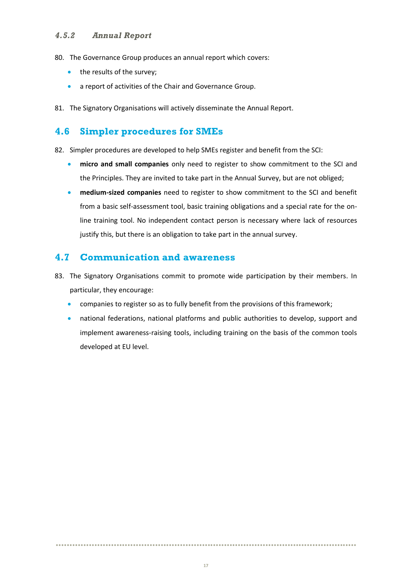#### <span id="page-16-0"></span>*4.5.2 Annual Report*

- 80. The Governance Group produces an annual report which covers:
	- the results of the survey;
	- a report of activities of the Chair and Governance Group.
- 81. The Signatory Organisations will actively disseminate the Annual Report.

### <span id="page-16-1"></span>**4.6 Simpler procedures for SMEs**

82. Simpler procedures are developed to help SMEs register and benefit from the SCI:

- **micro and small companies** only need to register to show commitment to the SCI and the Principles. They are invited to take part in the Annual Survey, but are not obliged;
- **medium-sized companies** need to register to show commitment to the SCI and benefit from a basic self-assessment tool, basic training obligations and a special rate for the online training tool. No independent contact person is necessary where lack of resources justify this, but there is an obligation to take part in the annual survey.

### <span id="page-16-2"></span>**4.7 Communication and awareness**

- 83. The Signatory Organisations commit to promote wide participation by their members. In particular, they encourage:
	- companies to register so as to fully benefit from the provisions of this framework;
	- national federations, national platforms and public authorities to develop, support and implement awareness-raising tools, including training on the basis of the common tools developed at EU level.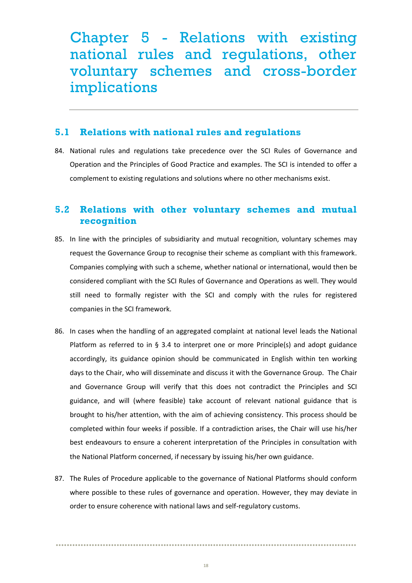<span id="page-17-0"></span>Chapter 5 - Relations with existing national rules and regulations, other voluntary schemes and cross-border implications

#### <span id="page-17-1"></span>**5.1 Relations with national rules and regulations**

84. National rules and regulations take precedence over the SCI Rules of Governance and Operation and the Principles of Good Practice and examples. The SCI is intended to offer a complement to existing regulations and solutions where no other mechanisms exist.

### <span id="page-17-2"></span>**5.2 Relations with other voluntary schemes and mutual recognition**

- 85. In line with the principles of subsidiarity and mutual recognition, voluntary schemes may request the Governance Group to recognise their scheme as compliant with this framework. Companies complying with such a scheme, whether national or international, would then be considered compliant with the SCI Rules of Governance and Operations as well. They would still need to formally register with the SCI and comply with the rules for registered companies in the SCI framework.
- 86. In cases when the handling of an aggregated complaint at national level leads the National Platform as referred to in § 3.4 to interpret one or more Principle(s) and adopt guidance accordingly, its guidance opinion should be communicated in English within ten working days to the Chair, who will disseminate and discuss it with the Governance Group. The Chair and Governance Group will verify that this does not contradict the Principles and SCI guidance, and will (where feasible) take account of relevant national guidance that is brought to his/her attention, with the aim of achieving consistency. This process should be completed within four weeks if possible. If a contradiction arises, the Chair will use his/her best endeavours to ensure a coherent interpretation of the Principles in consultation with the National Platform concerned, if necessary by issuing his/her own guidance.
- 87. The Rules of Procedure applicable to the governance of National Platforms should conform where possible to these rules of governance and operation. However, they may deviate in order to ensure coherence with national laws and self-regulatory customs.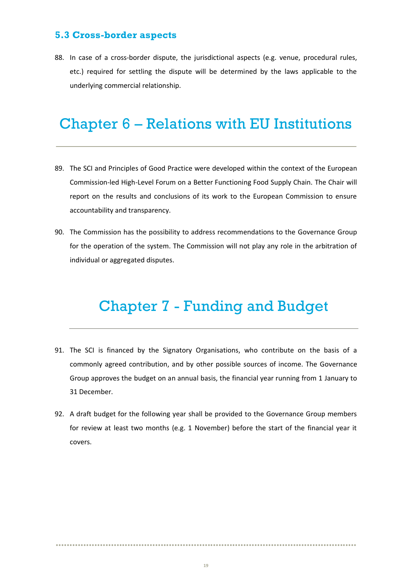### <span id="page-18-0"></span>**5.3 Cross-border aspects**

88. In case of a cross-border dispute, the jurisdictional aspects (e.g. venue, procedural rules, etc.) required for settling the dispute will be determined by the laws applicable to the underlying commercial relationship.

# <span id="page-18-1"></span>Chapter 6 – Relations with EU Institutions

- 89. The SCI and Principles of Good Practice were developed within the context of the European Commission-led High-Level Forum on a Better Functioning Food Supply Chain. The Chair will report on the results and conclusions of its work to the European Commission to ensure accountability and transparency.
- <span id="page-18-2"></span>90. The Commission has the possibility to address recommendations to the Governance Group for the operation of the system. The Commission will not play any role in the arbitration of individual or aggregated disputes.

# Chapter 7 - Funding and Budget

- 91. The SCI is financed by the Signatory Organisations, who contribute on the basis of a commonly agreed contribution, and by other possible sources of income. The Governance Group approves the budget on an annual basis, the financial year running from 1 January to 31 December.
- 92. A draft budget for the following year shall be provided to the Governance Group members for review at least two months (e.g. 1 November) before the start of the financial year it covers.